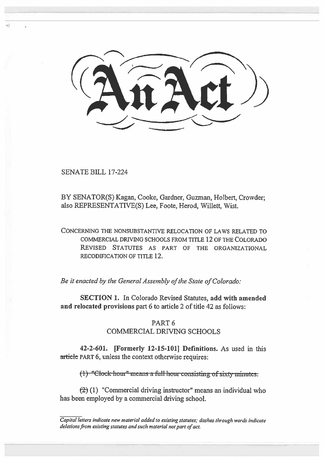SENATE BILL 17-224

BY SENATOR(S) Kagan, Cooke, Gardner, Guzman, Holbert, Crowder; also REPRESENTATIVE(S) Lee, Foote, Herod, Willett, Wist.

CONCERNING THE NONSUBSTANTIVE RELOCATION OF LAWS RELATED TO COMMERCIAL DRIVING SCHOOLS FROM TITLE 12 OF THE COLORADO REVISED STATUTES AS PART OF THE ORGANIZATIONAL RECODIFICATION OF TITLE 12.

*Be it enacted by the General Assembly of the State of Colorado:* 

**SECTION 1.** In Colorado Revised Statutes, **add with amended and relocated provisions** part 6 to article 2 of title 42 as follows:

## PART 6 COMMERCIAL DRIVING SCHOOLS

**42-2-601. [Formerly 12-15-1011 Definitions.** As used in this article PART 6, unless the context otherwise requires:

 $t$ ). "Clock-hour" means a full hour consisting of sixty minutes:

**(2) (I) "Commercial driving instructor" means an individual who has been employed by a commercial driving school.** 

*Capital letters indicate new material added to existing statutes; dashes through words indicate deletions from existing statutes and such material not part of act.*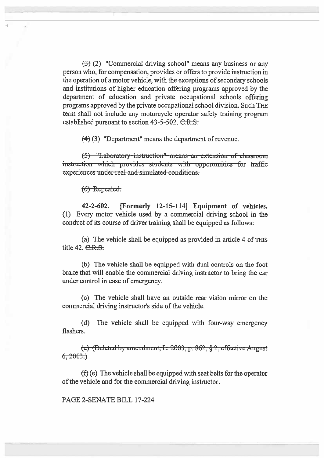$(3)$  (2) "Commercial driving school" means any business or any person who, for compensation, provides or offers to provide instruction in the operation of a motor vehicle, with the exceptions of secondary schools and institutions of higher education offering programs approved by the department of education and private occupational schools offering programs approved by the private occupational school division. Such THE term shall not include any motorcycle operator safety training program established pursuant to section  $43-5-502$ .  $C.R.S.$ 

 $(4)$  (3) "Department" means the department of revenue.

(5) "Laboratory-instruction" means an extension of classroom instruction which provides students with opportunities for traffic  $experiments under real and simulated conditions.$ 

 $(6)$ -Repealed.

42-2-602. [Formerly 12-15-114] Equipment of vehicles. (1) Every motor vehicle used by a commercial driving school in the conduct of its course of driver training shall be equipped as follows:

(a) The vehicle shall be equipped as provided in article 4 of THIS title  $42. \text{C.R.S.}$ 

(b) The vehicle shall be equipped with dual controls on the foot brake that will enable the commercial driving instructor to bring the car under control in case of emergency.

(c) The vehicle shall have an outside rear vision mirror on the commercial driving instructor's side of the vehicle.

(d) The vehicle shall be equipped with four-way emergency flashers.

 $(e)$ -(Deleted-by-amendment, L. 2003, p. 862, §-2, effective-August  $6, 2003.$ 

 $(f)$  (e) The vehicle shall be equipped with seat belts for the operator of the vehicle and for the commercial driving instructor.

PAGE 2-SENATE BILL 17-224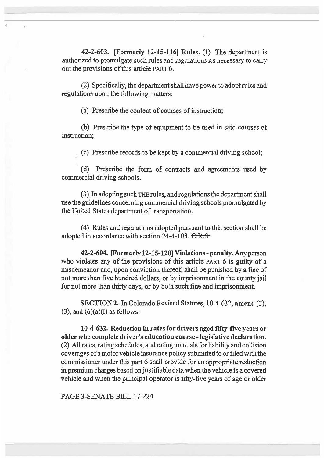42-2-603. [Formerly 12-15-116] Rules. (1) The department is authorized to promulgate such rules and regulations AS necessary to carry out the provisions of this article **PART** 6.

(2) Specifically, the department shall have power to adopt rules and regulations upon the following matters:

(a) Prescribe the content of courses of instruction;

(b) Prescribe the type of equipment to be used in said courses of instruction;

(c) Prescribe records to be kept by a commercial driving school;

(d) Prescribe the form of contracts and agreements used by commercial driving schools.

(3) In adopting such THE rules, and regulations the department shall use the guidelines concerning commercial driving schools promulgated by the United States department of transportation.

(4) Rules and regulations adopted pursuant to this section shall be adopted in accordance with section  $24-4-103$ .  $C.R.S.$ 

**42-2-604. [Formerly 12-15-120] Violations - penalty.** Any person who violates any of the provisions of this article PART 6 is guilty of a misdemeanor and, upon conviction thereof, shall be punished by a fine of not more than five hundred dollars, or by imprisonment in the county jail for not more than thirty days, or by both such fine and imprisonment.

**SECTION** 2. In Colorado Revised Statutes, 10-4-632, **amend** (2),  $(3)$ , and  $(6)(a)(I)$  as follows:

**10-4-632. Reduction in rates for drivers aged fifty-five years or older who complete driver's education course - legislative declaration.**  (2) All rates, rating schedules, and rating manuals for liability and collision coverages of a motor vehicle insurance policy submitted to or filed with the commissioner under this part 6 shall provide for an appropriate reduction in premium charges based on justifiable data when the vehicle is a covered vehicle and when the principal operator is fifty-five years of age or older

PAGE 3-SENATE BILL 17-224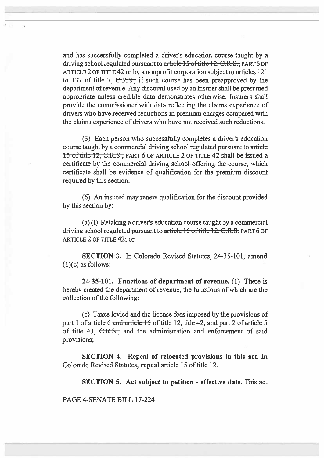and has successfully completed a driver's education course taught by a driving school regulated pursuant to article 15 of title 12, C.R.S., PART 6 OF ARTICLE 2 OF TITLE 42 or by a nonprofit corporation subject to articles 121 to 137 of title 7,  $C.R.S.,$  if such course has been preapproved by the department of revenue. Any discount used by an insurer shall be presumed appropriate unless credible data demonstrates otherwise. Insurers shall provide the commissioner with data reflecting the claims experience of drivers who have received reductions in premium charges compared with the claims experience of drivers who have not received such reductions.

(3) Each person who successfully completes a driver's education course taught by a commercial driving school regulated pursuant to article 15 of title 12, C.R.S., PART 6 OF ARTICLE 2 OF TITLE 42 shall be issued a certificate by the commercial driving school offering the course, which certificate shall be evidence of qualification for the premium discount required by this section.

(6) An insured may renew qualification for the discount provided by this section by:

(a) (I) Retaking a driver's education course taught by a commercial driving school regulated pursuant to article 15 of title 12, C.R.S. PART 6 OF ARTICLE 2 OF TITLE 42; or

**SECTION 3.** In Colorado Revised Statutes, 24-35-101, **amend**  (1)(c) as follows:

**24-35-101. Functions of department of revenue.** (1) There is hereby created the department of revenue, the functions of which are the collection of the following:

(c) Taxes levied and the license fees imposed by the provisions of part I of article 6 and articic 15 of title 12, title 42, and part 2 **of article** 5 of title 43, C.R.S., and the administration and enforcement **of said**  provisions;

**SECTION 4. Repeal of relocated provisions in this act. In Colorado Revised** Statutes, **repeal article** 15 of title 12.

**SECTION 5. Act subject to petition - effective date.** This act

PAGE 4-SENATE **BILL** 17-224